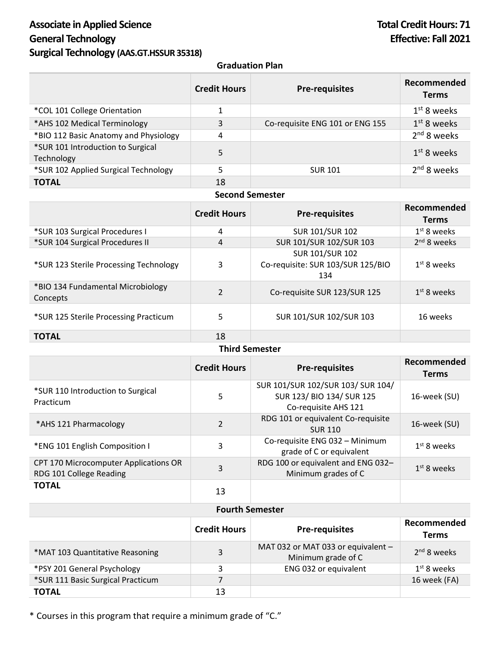# Associate in Applied Science **Total Credit Hours: 71 General Technology Effective: Fall 2021 Surgical Technology (AAS.GT.HSSUR 35318)**

## **Graduation Plan**

|                                                 | <b>Credit Hours</b> | <b>Pre-requisites</b>           | Recommended<br><b>Terms</b> |
|-------------------------------------------------|---------------------|---------------------------------|-----------------------------|
| *COL 101 College Orientation                    | 1                   |                                 | $1st$ 8 weeks               |
| *AHS 102 Medical Terminology                    | 3                   | Co-requisite ENG 101 or ENG 155 | $1st$ 8 weeks               |
| *BIO 112 Basic Anatomy and Physiology           | 4                   |                                 | 2 <sup>nd</sup> 8 weeks     |
| *SUR 101 Introduction to Surgical<br>Technology | 5                   |                                 | $1st$ 8 weeks               |
| *SUR 102 Applied Surgical Technology            |                     | <b>SUR 101</b>                  | $2nd$ 8 weeks               |
| <b>TOTAL</b>                                    | 18                  |                                 |                             |

### **Second Semester**

|                                               | <b>Credit Hours</b> | <b>Pre-requisites</b>                                              | Recommended<br><b>Terms</b> |
|-----------------------------------------------|---------------------|--------------------------------------------------------------------|-----------------------------|
| *SUR 103 Surgical Procedures I                | 4                   | <b>SUR 101/SUR 102</b>                                             | 1 <sup>st</sup> 8 weeks     |
| *SUR 104 Surgical Procedures II               | 4                   | SUR 101/SUR 102/SUR 103                                            | $2nd$ 8 weeks               |
| *SUR 123 Sterile Processing Technology        | 3                   | <b>SUR 101/SUR 102</b><br>Co-requisite: SUR 103/SUR 125/BIO<br>134 | 1 <sup>st</sup> 8 weeks     |
| *BIO 134 Fundamental Microbiology<br>Concepts | $\overline{2}$      | Co-requisite SUR 123/SUR 125                                       | $1st$ 8 weeks               |
| *SUR 125 Sterile Processing Practicum         | 5                   | SUR 101/SUR 102/SUR 103                                            | 16 weeks                    |
| <b>TOTAL</b>                                  | 18                  |                                                                    |                             |

### **Third Semester**

|                                                                  | <b>Credit Hours</b> | <b>Pre-requisites</b>                                                                  | Recommended<br><b>Terms</b> |
|------------------------------------------------------------------|---------------------|----------------------------------------------------------------------------------------|-----------------------------|
| *SUR 110 Introduction to Surgical<br>Practicum                   | 5                   | SUR 101/SUR 102/SUR 103/ SUR 104/<br>SUR 123/ BIO 134/ SUR 125<br>Co-requisite AHS 121 | 16-week (SU)                |
| *AHS 121 Pharmacology                                            | $\overline{2}$      | RDG 101 or equivalent Co-requisite<br><b>SUR 110</b>                                   | 16-week (SU)                |
| *ENG 101 English Composition I                                   | 3                   | Co-requisite ENG 032 - Minimum<br>grade of C or equivalent                             | $1st$ 8 weeks               |
| CPT 170 Microcomputer Applications OR<br>RDG 101 College Reading | 3                   | RDG 100 or equivalent and ENG 032-<br>Minimum grades of C                              | $1st$ 8 weeks               |
| <b>TOTAL</b>                                                     | 13                  |                                                                                        |                             |

## **Fourth Semester**

|                                   | <b>Credit Hours</b> | <b>Pre-requisites</b>                                    | Recommended<br><b>Terms</b> |
|-----------------------------------|---------------------|----------------------------------------------------------|-----------------------------|
| *MAT 103 Quantitative Reasoning   | 3                   | MAT 032 or MAT 033 or equivalent -<br>Minimum grade of C | 2 <sup>nd</sup> 8 weeks     |
| *PSY 201 General Psychology       | 3                   | ENG 032 or equivalent                                    | $1st$ 8 weeks               |
| *SUR 111 Basic Surgical Practicum |                     |                                                          | 16 week (FA)                |
| <b>TOTAL</b>                      | 13                  |                                                          |                             |

\* Courses in this program that require a minimum grade of "C."